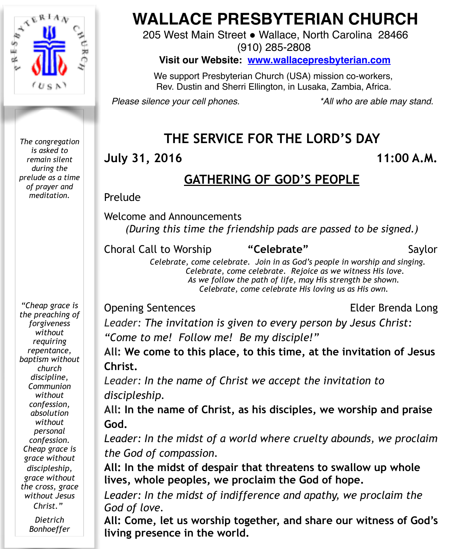

*The congregation is asked to remain silent during the prelude as a time of prayer and meditation.*

# **WALLACE PRESBYTERIAN CHURCH**

205 West Main Street . Wallace, North Carolina 28466

(910) 285-2808

**Visit our Website: [www.wallacepresbyterian.com](http://www.wallacepresbyterian.com)**

 We support Presbyterian Church (USA) mission co-workers, Rev. Dustin and Sherri Ellington, in Lusaka, Zambia, Africa.

*Please silence your cell phones. \*All who are able may stand.*

# **THE SERVICE FOR THE LORD'S DAY**

### **July 31, 2016 11:00 A.M.**

# **GATHERING OF GOD'S PEOPLE**

**Prelude** 

Welcome and Announcements *(During this time the friendship pads are passed to be signed.)* 

**Choral Call to Worship "Celebrate"** Saylor

 *Celebrate, come celebrate. Join in as God's people in worship and singing. Celebrate, come celebrate. Rejoice as we witness His love. As we follow the path of life, may His strength be shown. Celebrate, come celebrate His loving us as His own.* 

#### Opening Sentences Elder Brenda Long

*Leader: The invitation is given to every person by Jesus Christ: "Come to me! Follow me! Be my disciple!"*

**All: We come to this place, to this time, at the invitation of Jesus Christ.**

*Leader: In the name of Christ we accept the invitation to discipleship.*

**All: In the name of Christ, as his disciples, we worship and praise God.**

*Leader: In the midst of a world where cruelty abounds, we proclaim the God of compassion.*

**All: In the midst of despair that threatens to swallow up whole lives, whole peoples, we proclaim the God of hope.**

*Leader: In the midst of indifference and apathy, we proclaim the God of love.* 

**All: Come, let us worship together, and share our witness of God's living presence in the world.** 

*"Cheap grace is the preaching of forgiveness without requiring repentance, baptism without church discipline, Communion without confession, absolution without personal confession. Cheap grace is grace without discipleship, grace without the cross, grace without Jesus Christ."*

> *Dietrich Bonhoeffer*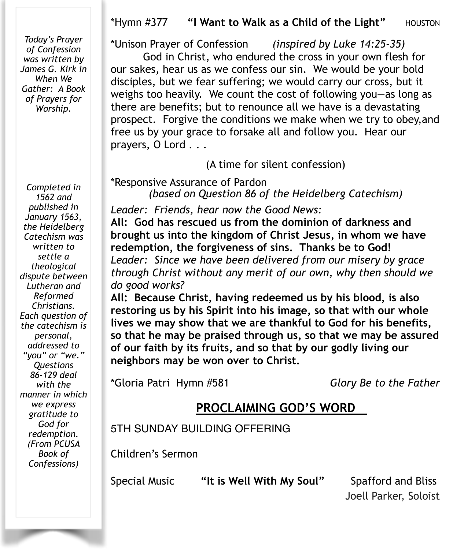#### \*Hymn #377 **"I Want to Walk as a Child of the Light"** HOUSTON

*Today's Prayer of Confession was written by James G. Kirk in When We Gather: A Book of Prayers for Worship.* 

*Completed in 1562 and published in January 1563, the Heidelberg Catechism was written to settle a theological dispute between Lutheran and Reformed Christians. Each question of the catechism is personal, addressed to "you" or "we." Questions 86-129 deal with the manner in which we express gratitude to God for redemption. (From PCUSA Book of Confessions)* 

\*Unison Prayer of Confession *(inspired by Luke 14:25-35)*

God in Christ, who endured the cross in your own flesh for our sakes, hear us as we confess our sin. We would be your bold disciples, but we fear suffering; we would carry our cross, but it weighs too heavily. We count the cost of following you—as long as there are benefits; but to renounce all we have is a devastating prospect. Forgive the conditions we make when we try to obey,and free us by your grace to forsake all and follow you. Hear our prayers, O Lord . . .

(A time for silent confession)

\*Responsive Assurance of Pardon *(based on Question 86 of the Heidelberg Catechism)* 

*Leader: Friends, hear now the Good News:* 

**All: God has rescued us from the dominion of darkness and brought us into the kingdom of Christ Jesus, in whom we have redemption, the forgiveness of sins. Thanks be to God!**  *Leader: Since we have been delivered from our misery by grace through Christ without any merit of our own, why then should we do good works?* 

**All: Because Christ, having redeemed us by his blood, is also restoring us by his Spirit into his image, so that with our whole lives we may show that we are thankful to God for his benefits, so that he may be praised through us, so that we may be assured of our faith by its fruits, and so that by our godly living our neighbors may be won over to Christ.** 

\*Gloria Patri Hymn #581 *Glory Be to the Father*

#### **PROCLAIMING GOD'S WORD**

5TH SUNDAY BUILDING OFFERING

Children's Sermon

Special Music **"It is Well With My Soul"** Spafford and Bliss

Joell Parker, Soloist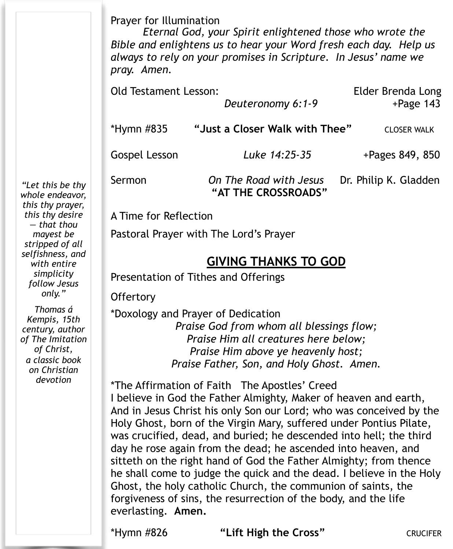Prayer for Illumination

*Eternal God, your Spirit enlightened those who wrote the Bible and enlightens us to hear your Word fresh each day. Help us always to rely on your promises in Scripture. In Jesus' name we pray. Amen.* 

| <b>Old Testament Lesson:</b> | Deuteronomy 6:1-9                             | Elder Brenda Long<br>$+$ Page 143 |
|------------------------------|-----------------------------------------------|-----------------------------------|
| *Hymn #835                   | "Just a Closer Walk with Thee"                | <b>CLOSER WALK</b>                |
| <b>Gospel Lesson</b>         | Luke 14:25-35                                 | +Pages 849, 850                   |
| Sermon                       | On The Road with Jesus<br>"AT THE CROSSROADS" | Dr. Philip K. Gladden             |

A Time for Reflection

Pastoral Prayer with The Lord's Prayer

#### **GIVING THANKS TO GOD**

Presentation of Tithes and Offerings

**Offertory** 

\*Doxology and Prayer of Dedication *Praise God from whom all blessings flow; Praise Him all creatures here below; Praise Him above ye heavenly host; Praise Father, Son, and Holy Ghost. Amen.*

\*The Affirmation of Faith The Apostles' Creed I believe in God the Father Almighty, Maker of heaven and earth, And in Jesus Christ his only Son our Lord; who was conceived by the Holy Ghost, born of the Virgin Mary, suffered under Pontius Pilate, was crucified, dead, and buried; he descended into hell; the third day he rose again from the dead; he ascended into heaven, and sitteth on the right hand of God the Father Almighty; from thence he shall come to judge the quick and the dead. I believe in the Holy Ghost, the holy catholic Church, the communion of saints, the forgiveness of sins, the resurrection of the body, and the life everlasting. **Amen.**

\*Hymn #826 **"Lift High the Cross"** CRUCIFER

*"Let this be thy whole endeavor, this thy prayer, this thy desire — that thou mayest be stripped of all selfishness, and with entire simplicity follow Jesus only."* 

*Thomas á Kempis, 15th century, author of The Imitation of Christ, a classic book on Christian devotion*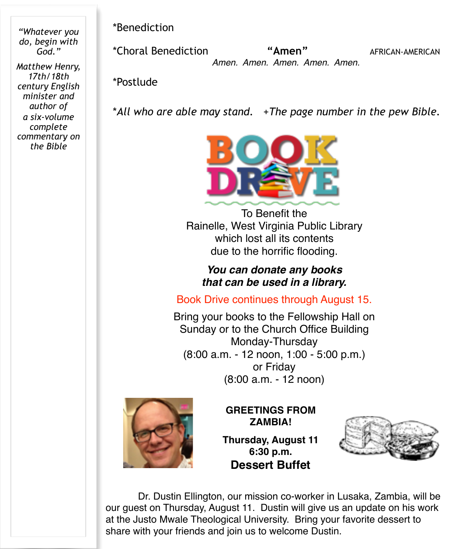*"Whatever you do, begin with God."* 

*Matthew Henry, 17th/18th century English minister and author of a six-volume complete commentary on the Bible* 

\*Benediction !!!!!

\*Choral Benediction **"Amen"** AFRICAN-AMERICAN  *Amen. Amen. Amen. Amen. Amen.*

\*Postlude

\**All who are able may stand.* +*The page number in the pew Bible.* 



To Benefit the Rainelle, West Virginia Public Library which lost all its contents due to the horrific flooding.

> *You can donate any books that can be used in a library.*

Book Drive continues through August 15.

Bring your books to the Fellowship Hall on Sunday or to the Church Office Building Monday-Thursday (8:00 a.m. - 12 noon, 1:00 - 5:00 p.m.) or Friday (8:00 a.m. - 12 noon)



**GREETINGS FROM ZAMBIA!**

**Thursday, August 11 6:30 p.m. Dessert Buffet**



Dr. Dustin Ellington, our mission co-worker in Lusaka, Zambia, will be our guest on Thursday, August 11. Dustin will give us an update on his work at the Justo Mwale Theological University. Bring your favorite dessert to share with your friends and join us to welcome Dustin.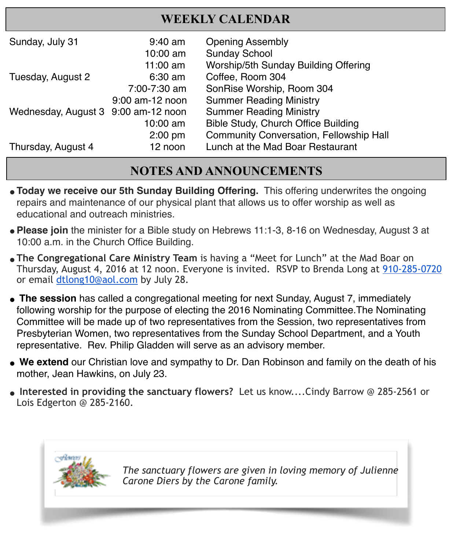## **WEEKLY CALENDAR**

| Sunday, July 31                     | $9:40$ am         | <b>Opening Assembly</b>                        |
|-------------------------------------|-------------------|------------------------------------------------|
|                                     | 10:00 am          | <b>Sunday School</b>                           |
|                                     | $11:00$ am        | Worship/5th Sunday Building Offering           |
| Tuesday, August 2                   | $6:30$ am         | Coffee, Room 304                               |
|                                     | 7:00-7:30 am      | SonRise Worship, Room 304                      |
|                                     | $9:00$ am-12 noon | <b>Summer Reading Ministry</b>                 |
| Wednesday, August 3 9:00 am-12 noon |                   | <b>Summer Reading Ministry</b>                 |
|                                     | 10:00 am          | Bible Study, Church Office Building            |
|                                     | $2:00$ pm         | <b>Community Conversation, Fellowship Hall</b> |
| Thursday, August 4                  | 12 noon           | Lunch at the Mad Boar Restaurant               |

# **NOTES AND ANNOUNCEMENTS**

- **"Today we receive our 5th Sunday Building Offering.** This offering underwrites the ongoing repairs and maintenance of our physical plant that allows us to offer worship as well as educational and outreach ministries.
- **"Please join** the minister for a Bible study on Hebrews 11:1-3, 8-16 on Wednesday, August 3 at 10:00 a.m. in the Church Office Building.
- **"The Congregational Care Ministry Team** is having a "Meet for Lunch" at the Mad Boar on Thursday, August 4, 2016 at 12 noon. Everyone is invited. RSVP to Brenda Long at 910-285-0720 or email [dtlong10@aol.com](mailto:dtlong10@aol.com) by July 28.
- The session has called a congregational meeting for next Sunday, August 7, immediately following worship for the purpose of electing the 2016 Nominating Committee.The Nominating Committee will be made up of two representatives from the Session, two representatives from Presbyterian Women, two representatives from the Sunday School Department, and a Youth representative. Rev. Philip Gladden will serve as an advisory member.
- " **We extend** our Christian love and sympathy to Dr. Dan Robinson and family on the death of his mother, Jean Hawkins, on July 23.
- **" Interested in providing the sanctuary flowers?** Let us know....Cindy Barrow @ 285-2561 or Lois Edgerton @ 285-2160.